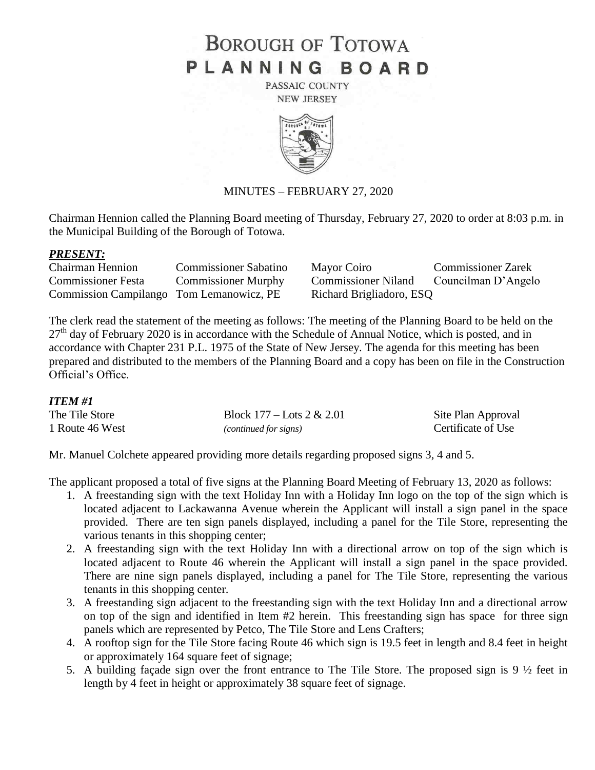# **BOROUGH OF TOTOWA** PLANNING BOARD

PASSAIC COUNTY **NEW JERSEY** 



### MINUTES – FEBRUARY 27, 2020

Chairman Hennion called the Planning Board meeting of Thursday, February 27, 2020 to order at 8:03 p.m. in the Municipal Building of the Borough of Totowa.

#### *PRESENT:*

| <b>Chairman Hennion</b>                  | <b>Commissioner Sabatino</b> | Mayor Coiro                | <b>Commissioner Zarek</b> |
|------------------------------------------|------------------------------|----------------------------|---------------------------|
| <b>Commissioner Festa</b>                | <b>Commissioner Murphy</b>   | <b>Commissioner Niland</b> | Councilman D'Angelo       |
| Commission Campilango Tom Lemanowicz, PE |                              | Richard Brigliadoro, ESQ   |                           |

The clerk read the statement of the meeting as follows: The meeting of the Planning Board to be held on the  $27<sup>th</sup>$  day of February 2020 is in accordance with the Schedule of Annual Notice, which is posted, and in accordance with Chapter 231 P.L. 1975 of the State of New Jersey. The agenda for this meeting has been prepared and distributed to the members of the Planning Board and a copy has been on file in the Construction Official's Office.

#### *ITEM #1*

| The Tile Store  | Block $177 -$ Lots $2 & 2.01$ | Site Plan Approval |
|-----------------|-------------------------------|--------------------|
| 1 Route 46 West | (continued for signs)         | Certificate of Use |

Mr. Manuel Colchete appeared providing more details regarding proposed signs 3, 4 and 5.

The applicant proposed a total of five signs at the Planning Board Meeting of February 13, 2020 as follows:

- 1. A freestanding sign with the text Holiday Inn with a Holiday Inn logo on the top of the sign which is located adjacent to Lackawanna Avenue wherein the Applicant will install a sign panel in the space provided. There are ten sign panels displayed, including a panel for the Tile Store, representing the various tenants in this shopping center;
- 2. A freestanding sign with the text Holiday Inn with a directional arrow on top of the sign which is located adjacent to Route 46 wherein the Applicant will install a sign panel in the space provided. There are nine sign panels displayed, including a panel for The Tile Store, representing the various tenants in this shopping center.
- 3. A freestanding sign adjacent to the freestanding sign with the text Holiday Inn and a directional arrow on top of the sign and identified in Item #2 herein. This freestanding sign has space for three sign panels which are represented by Petco, The Tile Store and Lens Crafters;
- 4. A rooftop sign for the Tile Store facing Route 46 which sign is 19.5 feet in length and 8.4 feet in height or approximately 164 square feet of signage;
- 5. A building façade sign over the front entrance to The Tile Store. The proposed sign is 9 ½ feet in length by 4 feet in height or approximately 38 square feet of signage.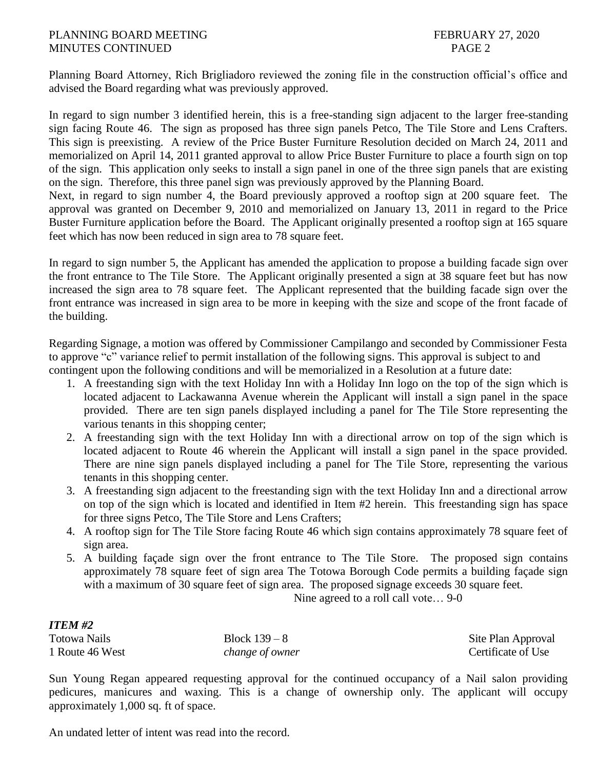#### PLANNING BOARD MEETING FEBRUARY 27, 2020 MINUTES CONTINUED PAGE 2

feet which has now been reduced in sign area to 78 square feet.

Planning Board Attorney, Rich Brigliadoro reviewed the zoning file in the construction official's office and advised the Board regarding what was previously approved.

In regard to sign number 3 identified herein, this is a free-standing sign adjacent to the larger free-standing sign facing Route 46. The sign as proposed has three sign panels Petco, The Tile Store and Lens Crafters. This sign is preexisting. A review of the Price Buster Furniture Resolution decided on March 24, 2011 and memorialized on April 14, 2011 granted approval to allow Price Buster Furniture to place a fourth sign on top of the sign. This application only seeks to install a sign panel in one of the three sign panels that are existing on the sign. Therefore, this three panel sign was previously approved by the Planning Board. Next, in regard to sign number 4, the Board previously approved a rooftop sign at 200 square feet. The approval was granted on December 9, 2010 and memorialized on January 13, 2011 in regard to the Price Buster Furniture application before the Board. The Applicant originally presented a rooftop sign at 165 square

In regard to sign number 5, the Applicant has amended the application to propose a building facade sign over the front entrance to The Tile Store. The Applicant originally presented a sign at 38 square feet but has now increased the sign area to 78 square feet. The Applicant represented that the building facade sign over the front entrance was increased in sign area to be more in keeping with the size and scope of the front facade of the building.

Regarding Signage, a motion was offered by Commissioner Campilango and seconded by Commissioner Festa to approve "c" variance relief to permit installation of the following signs. This approval is subject to and contingent upon the following conditions and will be memorialized in a Resolution at a future date:

- 1. A freestanding sign with the text Holiday Inn with a Holiday Inn logo on the top of the sign which is located adjacent to Lackawanna Avenue wherein the Applicant will install a sign panel in the space provided. There are ten sign panels displayed including a panel for The Tile Store representing the various tenants in this shopping center;
- 2. A freestanding sign with the text Holiday Inn with a directional arrow on top of the sign which is located adjacent to Route 46 wherein the Applicant will install a sign panel in the space provided. There are nine sign panels displayed including a panel for The Tile Store, representing the various tenants in this shopping center.
- 3. A freestanding sign adjacent to the freestanding sign with the text Holiday Inn and a directional arrow on top of the sign which is located and identified in Item #2 herein. This freestanding sign has space for three signs Petco, The Tile Store and Lens Crafters;
- 4. A rooftop sign for The Tile Store facing Route 46 which sign contains approximately 78 square feet of sign area.
- 5. A building façade sign over the front entrance to The Tile Store. The proposed sign contains approximately 78 square feet of sign area The Totowa Borough Code permits a building façade sign with a maximum of 30 square feet of sign area. The proposed signage exceeds 30 square feet.

Nine agreed to a roll call vote… 9-0

#### *ITEM #2*

| -------         |                 |                    |
|-----------------|-----------------|--------------------|
| Totowa Nails    | Block $139-8$   | Site Plan Approval |
| 1 Route 46 West | change of owner | Certificate of Use |

Sun Young Regan appeared requesting approval for the continued occupancy of a Nail salon providing pedicures, manicures and waxing. This is a change of ownership only. The applicant will occupy approximately 1,000 sq. ft of space.

An undated letter of intent was read into the record.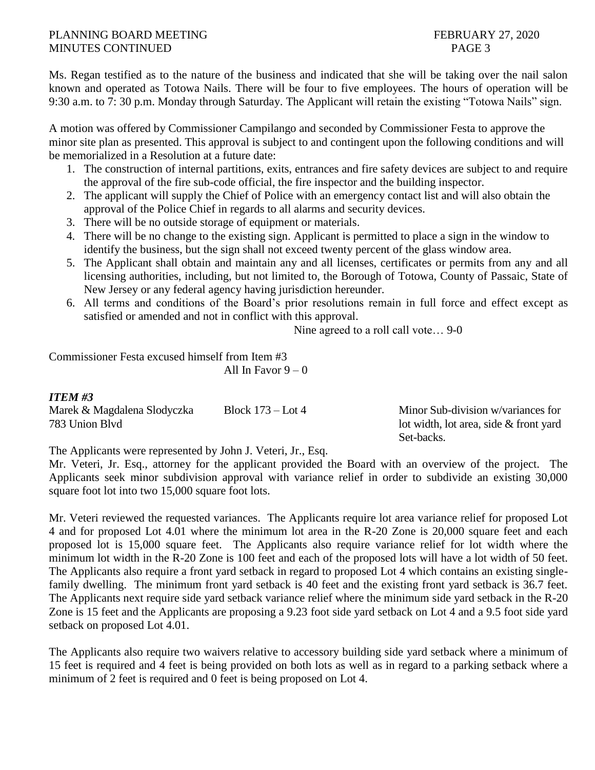### PLANNING BOARD MEETING FEBRUARY 27, 2020 MINUTES CONTINUED PAGE 3

Ms. Regan testified as to the nature of the business and indicated that she will be taking over the nail salon known and operated as Totowa Nails. There will be four to five employees. The hours of operation will be 9:30 a.m. to 7: 30 p.m. Monday through Saturday. The Applicant will retain the existing "Totowa Nails" sign.

A motion was offered by Commissioner Campilango and seconded by Commissioner Festa to approve the minor site plan as presented. This approval is subject to and contingent upon the following conditions and will be memorialized in a Resolution at a future date:

- 1. The construction of internal partitions, exits, entrances and fire safety devices are subject to and require the approval of the fire sub-code official, the fire inspector and the building inspector.
- 2. The applicant will supply the Chief of Police with an emergency contact list and will also obtain the approval of the Police Chief in regards to all alarms and security devices.
- 3. There will be no outside storage of equipment or materials.
- 4. There will be no change to the existing sign. Applicant is permitted to place a sign in the window to identify the business, but the sign shall not exceed twenty percent of the glass window area.
- 5. The Applicant shall obtain and maintain any and all licenses, certificates or permits from any and all licensing authorities, including, but not limited to, the Borough of Totowa, County of Passaic, State of New Jersey or any federal agency having jurisdiction hereunder.
- 6. All terms and conditions of the Board's prior resolutions remain in full force and effect except as satisfied or amended and not in conflict with this approval.

Nine agreed to a roll call vote… 9-0

Commissioner Festa excused himself from Item #3 All In Favor  $9 - 0$ 

## *ITEM #3*

Marek & Magdalena Slodyczka Block 173 – Lot 4 Minor Sub-division w/variances for 783 Union Blvd lot width, lot area, side & front yard

Set-backs.

The Applicants were represented by John J. Veteri, Jr., Esq.

Mr. Veteri, Jr. Esq., attorney for the applicant provided the Board with an overview of the project. The Applicants seek minor subdivision approval with variance relief in order to subdivide an existing 30,000 square foot lot into two 15,000 square foot lots.

Mr. Veteri reviewed the requested variances. The Applicants require lot area variance relief for proposed Lot 4 and for proposed Lot 4.01 where the minimum lot area in the R-20 Zone is 20,000 square feet and each proposed lot is 15,000 square feet. The Applicants also require variance relief for lot width where the minimum lot width in the R-20 Zone is 100 feet and each of the proposed lots will have a lot width of 50 feet. The Applicants also require a front yard setback in regard to proposed Lot 4 which contains an existing singlefamily dwelling. The minimum front yard setback is 40 feet and the existing front yard setback is 36.7 feet. The Applicants next require side yard setback variance relief where the minimum side yard setback in the R-20 Zone is 15 feet and the Applicants are proposing a 9.23 foot side yard setback on Lot 4 and a 9.5 foot side yard setback on proposed Lot 4.01.

The Applicants also require two waivers relative to accessory building side yard setback where a minimum of 15 feet is required and 4 feet is being provided on both lots as well as in regard to a parking setback where a minimum of 2 feet is required and 0 feet is being proposed on Lot 4.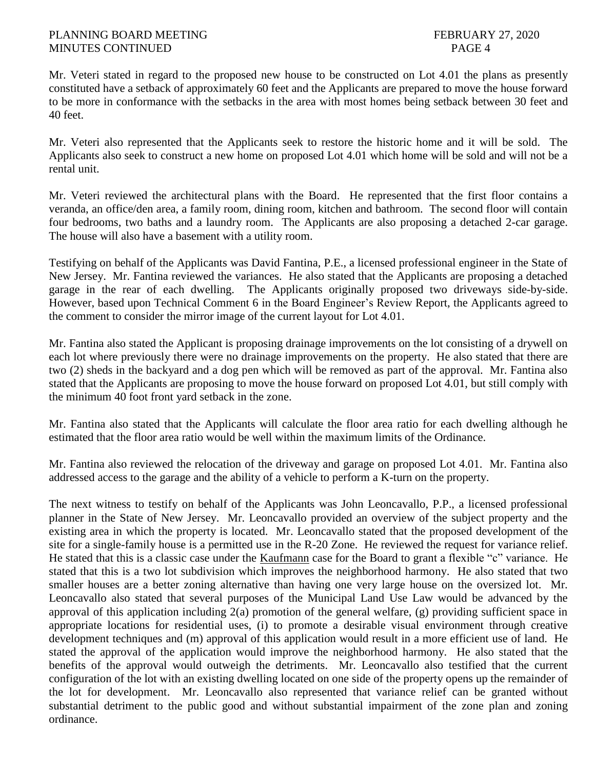Mr. Veteri stated in regard to the proposed new house to be constructed on Lot 4.01 the plans as presently constituted have a setback of approximately 60 feet and the Applicants are prepared to move the house forward to be more in conformance with the setbacks in the area with most homes being setback between 30 feet and 40 feet.

Mr. Veteri also represented that the Applicants seek to restore the historic home and it will be sold. The Applicants also seek to construct a new home on proposed Lot 4.01 which home will be sold and will not be a rental unit.

Mr. Veteri reviewed the architectural plans with the Board. He represented that the first floor contains a veranda, an office/den area, a family room, dining room, kitchen and bathroom. The second floor will contain four bedrooms, two baths and a laundry room. The Applicants are also proposing a detached 2-car garage. The house will also have a basement with a utility room.

Testifying on behalf of the Applicants was David Fantina, P.E., a licensed professional engineer in the State of New Jersey. Mr. Fantina reviewed the variances. He also stated that the Applicants are proposing a detached garage in the rear of each dwelling. The Applicants originally proposed two driveways side-by-side. However, based upon Technical Comment 6 in the Board Engineer's Review Report, the Applicants agreed to the comment to consider the mirror image of the current layout for Lot 4.01.

Mr. Fantina also stated the Applicant is proposing drainage improvements on the lot consisting of a drywell on each lot where previously there were no drainage improvements on the property. He also stated that there are two (2) sheds in the backyard and a dog pen which will be removed as part of the approval. Mr. Fantina also stated that the Applicants are proposing to move the house forward on proposed Lot 4.01, but still comply with the minimum 40 foot front yard setback in the zone.

Mr. Fantina also stated that the Applicants will calculate the floor area ratio for each dwelling although he estimated that the floor area ratio would be well within the maximum limits of the Ordinance.

Mr. Fantina also reviewed the relocation of the driveway and garage on proposed Lot 4.01. Mr. Fantina also addressed access to the garage and the ability of a vehicle to perform a K-turn on the property.

The next witness to testify on behalf of the Applicants was John Leoncavallo, P.P., a licensed professional planner in the State of New Jersey. Mr. Leoncavallo provided an overview of the subject property and the existing area in which the property is located. Mr. Leoncavallo stated that the proposed development of the site for a single-family house is a permitted use in the R-20 Zone. He reviewed the request for variance relief. He stated that this is a classic case under the Kaufmann case for the Board to grant a flexible "c" variance. He stated that this is a two lot subdivision which improves the neighborhood harmony. He also stated that two smaller houses are a better zoning alternative than having one very large house on the oversized lot. Mr. Leoncavallo also stated that several purposes of the Municipal Land Use Law would be advanced by the approval of this application including 2(a) promotion of the general welfare, (g) providing sufficient space in appropriate locations for residential uses, (i) to promote a desirable visual environment through creative development techniques and (m) approval of this application would result in a more efficient use of land. He stated the approval of the application would improve the neighborhood harmony. He also stated that the benefits of the approval would outweigh the detriments. Mr. Leoncavallo also testified that the current configuration of the lot with an existing dwelling located on one side of the property opens up the remainder of the lot for development. Mr. Leoncavallo also represented that variance relief can be granted without substantial detriment to the public good and without substantial impairment of the zone plan and zoning ordinance.